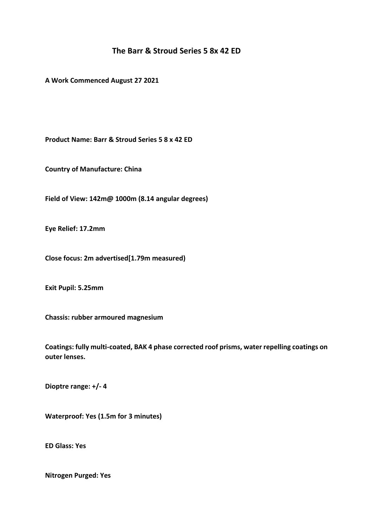# **The Barr & Stroud Series 5 8x 42 ED**

**A Work Commenced August 27 2021**

**Product Name: Barr & Stroud Series 5 8 x 42 ED**

**Country of Manufacture: China**

**Field of View: 142m@ 1000m (8.14 angular degrees)**

**Eye Relief: 17.2mm**

**Close focus: 2m advertised[1.79m measured)**

**Exit Pupil: 5.25mm**

**Chassis: rubber armoured magnesium**

**Coatings: fully multi-coated, BAK 4 phase corrected roof prisms, water repelling coatings on outer lenses.**

**Dioptre range: +/- 4**

**Waterproof: Yes (1.5m for 3 minutes)**

**ED Glass: Yes**

**Nitrogen Purged: Yes**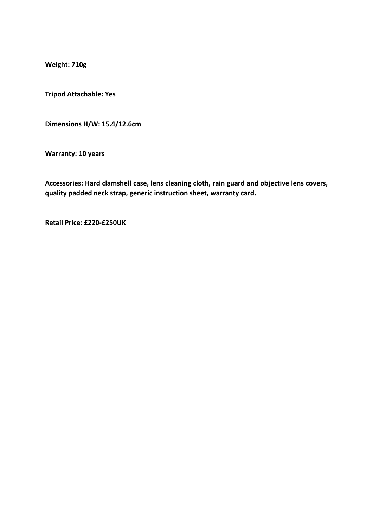**Weight: 710g**

**Tripod Attachable: Yes**

**Dimensions H/W: 15.4/12.6cm**

**Warranty: 10 years**

**Accessories: Hard clamshell case, lens cleaning cloth, rain guard and objective lens covers, quality padded neck strap, generic instruction sheet, warranty card.**

**Retail Price: £220-£250UK**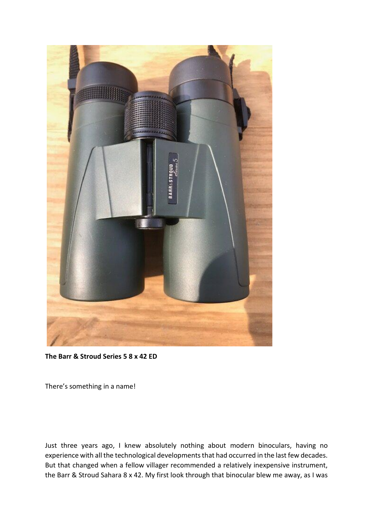

**The Barr & Stroud Series 5 8 x 42 ED**

There's something in a name!

Just three years ago, I knew absolutely nothing about modern binoculars, having no experience with all the technological developments that had occurred in the last few decades. But that changed when a fellow villager recommended a relatively inexpensive instrument, the Barr & Stroud Sahara 8 x 42. My first look through that binocular blew me away, as I was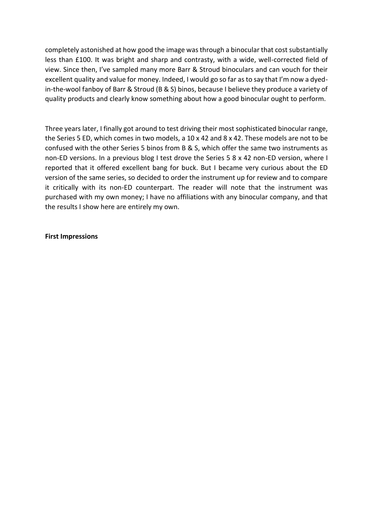completely astonished at how good the image was through a binocular that cost substantially less than £100. It was bright and sharp and contrasty, with a wide, well-corrected field of view. Since then, I've sampled many more Barr & Stroud binoculars and can vouch for their excellent quality and value for money. Indeed, I would go so far as to say that I'm now a dyedin-the-wool fanboy of Barr & Stroud (B & S) binos, because I believe they produce a variety of quality products and clearly know something about how a good binocular ought to perform.

Three years later, I finally got around to test driving their most sophisticated binocular range, the Series 5 ED, which comes in two models, a 10 x 42 and 8 x 42. These models are not to be confused with the other Series 5 binos from B & S, which offer the same two instruments as non-ED versions. In a previous blog I test drove the Series 5 8 x 42 non-ED version, where I reported that it offered excellent bang for buck. But I became very curious about the ED version of the same series, so decided to order the instrument up for review and to compare it critically with its non-ED counterpart. The reader will note that the instrument was purchased with my own money; I have no affiliations with any binocular company, and that the results I show here are entirely my own.

#### **First Impressions**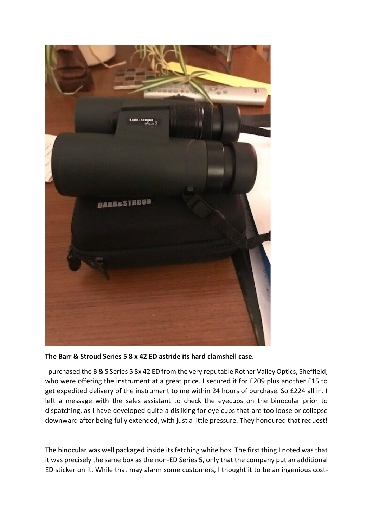

**The Barr & Stroud Series 5 8 x 42 ED astride its hard clamshell case.**

I purchased the B & S Series 5 8x 42 ED from the very reputable Rother Valley Optics, Sheffield, who were offering the instrument at a great price. I secured it for £209 plus another £15 to get expedited delivery of the instrument to me within 24 hours of purchase. So £224 all in. I left a message with the sales assistant to check the eyecups on the binocular prior to dispatching, as I have developed quite a disliking for eye cups that are too loose or collapse downward after being fully extended, with just a little pressure. They honoured that request!

The binocular was well packaged inside its fetching white box. The first thing I noted was that it was precisely the same box as the non-ED Series 5, only that the company put an additional ED sticker on it. While that may alarm some customers, I thought it to be an ingenious cost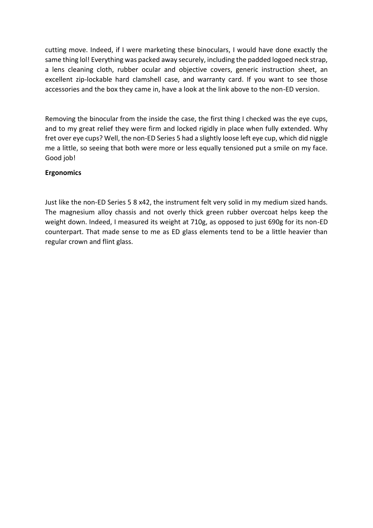cutting move. Indeed, if I were marketing these binoculars, I would have done exactly the same thing lol! Everything was packed away securely, including the padded logoed neck strap, a lens cleaning cloth, rubber ocular and objective covers, generic instruction sheet, an excellent zip-lockable hard clamshell case, and warranty card. If you want to see those accessories and the box they came in, have a look at the link above to the non-ED version.

Removing the binocular from the inside the case, the first thing I checked was the eye cups, and to my great relief they were firm and locked rigidly in place when fully extended. Why fret over eye cups? Well, the non-ED Series 5 had a slightly loose left eye cup, which did niggle me a little, so seeing that both were more or less equally tensioned put a smile on my face. Good job!

## **Ergonomics**

Just like the non-ED Series 5 8 x42, the instrument felt very solid in my medium sized hands. The magnesium alloy chassis and not overly thick green rubber overcoat helps keep the weight down. Indeed, I measured its weight at 710g, as opposed to just 690g for its non-ED counterpart. That made sense to me as ED glass elements tend to be a little heavier than regular crown and flint glass.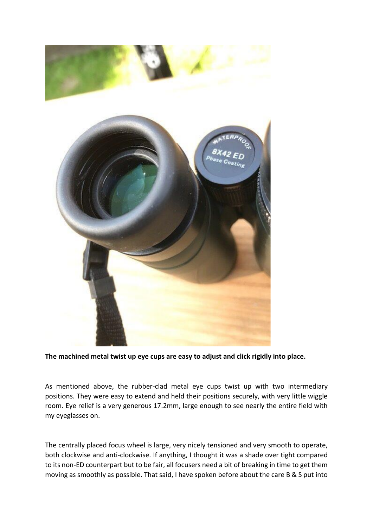

**The machined metal twist up eye cups are easy to adjust and click rigidly into place.**

As mentioned above, the rubber-clad metal eye cups twist up with two intermediary positions. They were easy to extend and held their positions securely, with very little wiggle room. Eye relief is a very generous 17.2mm, large enough to see nearly the entire field with my eyeglasses on.

The centrally placed focus wheel is large, very nicely tensioned and very smooth to operate, both clockwise and anti-clockwise. If anything, I thought it was a shade over tight compared to its non-ED counterpart but to be fair, all focusers need a bit of breaking in time to get them moving as smoothly as possible. That said, I have spoken before about the care B & S put into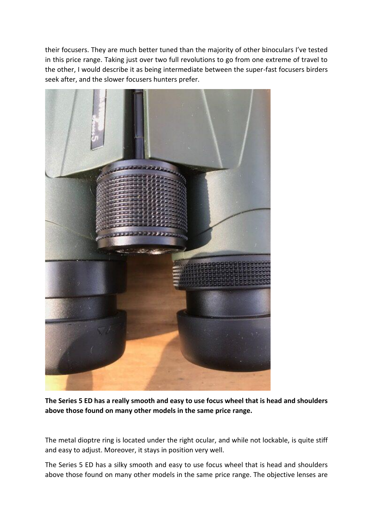their focusers. They are much better tuned than the majority of other binoculars I've tested in this price range. Taking just over two full revolutions to go from one extreme of travel to the other, I would describe it as being intermediate between the super-fast focusers birders seek after, and the slower focusers hunters prefer.



**The Series 5 ED has a really smooth and easy to use focus wheel that is head and shoulders above those found on many other models in the same price range.**

The metal dioptre ring is located under the right ocular, and while not lockable, is quite stiff and easy to adjust. Moreover, it stays in position very well.

The Series 5 ED has a silky smooth and easy to use focus wheel that is head and shoulders above those found on many other models in the same price range. The objective lenses are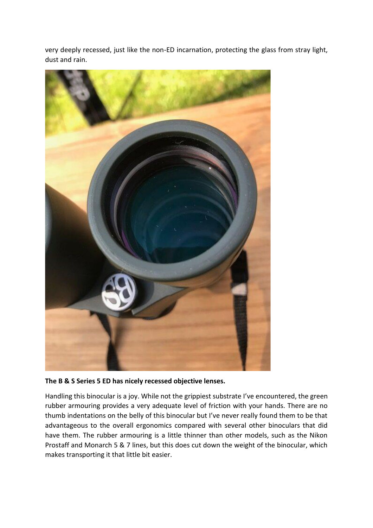very deeply recessed, just like the non-ED incarnation, protecting the glass from stray light, dust and rain.



**The B & S Series 5 ED has nicely recessed objective lenses.**

Handling this binocular is a joy. While not the grippiest substrate I've encountered, the green rubber armouring provides a very adequate level of friction with your hands. There are no thumb indentations on the belly of this binocular but I've never really found them to be that advantageous to the overall ergonomics compared with several other binoculars that did have them. The rubber armouring is a little thinner than other models, such as the Nikon Prostaff and Monarch 5 & 7 lines, but this does cut down the weight of the binocular, which makes transporting it that little bit easier.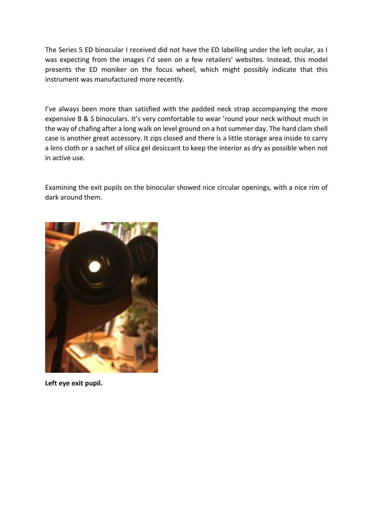The Series 5 ED binocular I received did not have the ED labelling under the left ocular, as I was expecting from the images I'd seen on a few retailers' websites. Instead, this model presents the ED moniker on the focus wheel, which might possibly indicate that this instrument was manufactured more recently.

I've always been more than satisfied with the padded neck strap accompanying the more expensive B & S binoculars. It's very comfortable to wear 'round your neck without much in the way of chafing after a long walk on level ground on a hot summer day. The hard clam shell case is another great accessory. It zips closed and there is a little storage area inside to carry a lens cloth or a sachet of silica gel desiccant to keep the interior as dry as possible when not in active use.

Examining the exit pupils on the binocular showed nice circular openings, with a nice rim of dark around them.



**Left eye exit pupil.**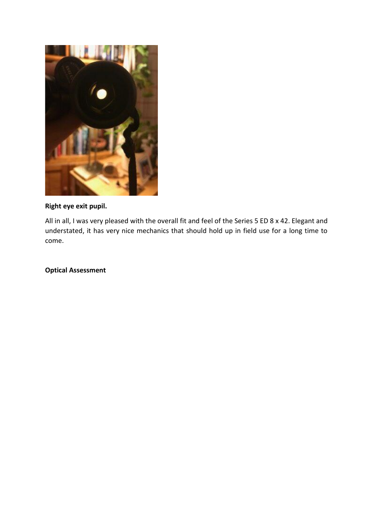

# **Right eye exit pupil.**

All in all, I was very pleased with the overall fit and feel of the Series 5 ED 8 x 42. Elegant and understated, it has very nice mechanics that should hold up in field use for a long time to come.

**Optical Assessment**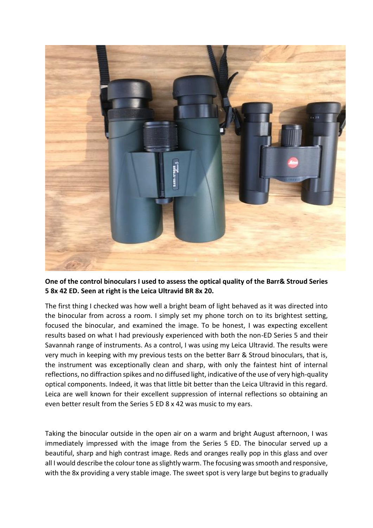

**One of the control binoculars I used to assess the optical quality of the Barr& Stroud Series 5 8x 42 ED. Seen at right is the Leica Ultravid BR 8x 20.**

The first thing I checked was how well a bright beam of light behaved as it was directed into the binocular from across a room. I simply set my phone torch on to its brightest setting, focused the binocular, and examined the image. To be honest, I was expecting excellent results based on what I had previously experienced with both the non-ED Series 5 and their Savannah range of instruments. As a control, I was using my Leica Ultravid. The results were very much in keeping with my previous tests on the better Barr & Stroud binoculars, that is, the instrument was exceptionally clean and sharp, with only the faintest hint of internal reflections, no diffraction spikes and no diffused light, indicative of the use of very high-quality optical components. Indeed, it was that little bit better than the Leica Ultravid in this regard. Leica are well known for their excellent suppression of internal reflections so obtaining an even better result from the Series 5 ED 8 x 42 was music to my ears.

Taking the binocular outside in the open air on a warm and bright August afternoon, I was immediately impressed with the image from the Series 5 ED. The binocular served up a beautiful, sharp and high contrast image. Reds and oranges really pop in this glass and over all I would describe the colour tone as slightly warm. The focusing was smooth and responsive, with the 8x providing a very stable image. The sweet spot is very large but begins to gradually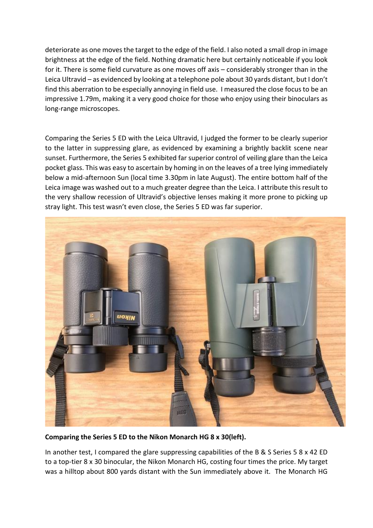deteriorate as one moves the target to the edge of the field. I also noted a small drop in image brightness at the edge of the field. Nothing dramatic here but certainly noticeable if you look for it. There is some field curvature as one moves off axis – considerably stronger than in the Leica Ultravid – as evidenced by looking at a telephone pole about 30 yards distant, but I don't find this aberration to be especially annoying in field use. I measured the close focus to be an impressive 1.79m, making it a very good choice for those who enjoy using their binoculars as long-range microscopes.

Comparing the Series 5 ED with the Leica Ultravid, I judged the former to be clearly superior to the latter in suppressing glare, as evidenced by examining a brightly backlit scene near sunset. Furthermore, the Series 5 exhibited far superior control of veiling glare than the Leica pocket glass. This was easy to ascertain by homing in on the leaves of a tree lying immediately below a mid-afternoon Sun (local time 3.30pm in late August). The entire bottom half of the Leica image was washed out to a much greater degree than the Leica. I attribute this result to the very shallow recession of Ultravid's objective lenses making it more prone to picking up stray light. This test wasn't even close, the Series 5 ED was far superior.



**Comparing the Series 5 ED to the Nikon Monarch HG 8 x 30(left).**

In another test, I compared the glare suppressing capabilities of the B & S Series 5 8 x 42 ED to a top-tier 8 x 30 binocular, the Nikon Monarch HG, costing four times the price. My target was a hilltop about 800 yards distant with the Sun immediately above it. The Monarch HG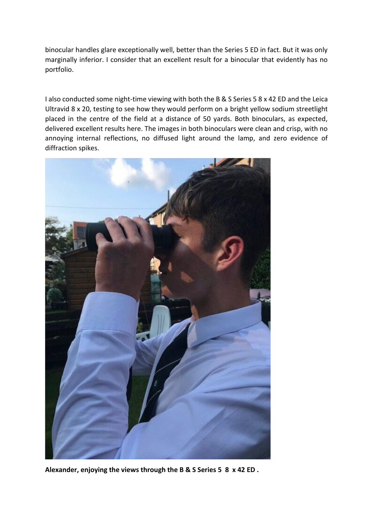binocular handles glare exceptionally well, better than the Series 5 ED in fact. But it was only marginally inferior. I consider that an excellent result for a binocular that evidently has no portfolio.

I also conducted some night-time viewing with both the B & S Series 5 8 x 42 ED and the Leica Ultravid 8 x 20, testing to see how they would perform on a bright yellow sodium streetlight placed in the centre of the field at a distance of 50 yards. Both binoculars, as expected, delivered excellent results here. The images in both binoculars were clean and crisp, with no annoying internal reflections, no diffused light around the lamp, and zero evidence of diffraction spikes.



**Alexander, enjoying the views through the B & S Series 5 8 x 42 ED .**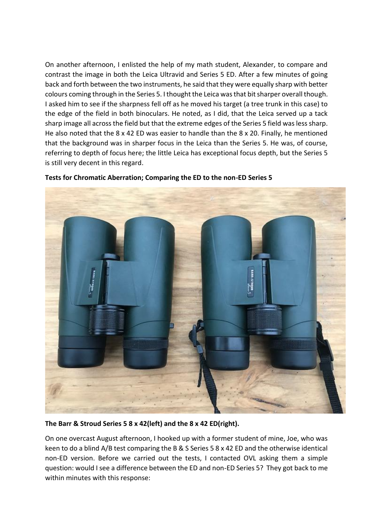On another afternoon, I enlisted the help of my math student, Alexander, to compare and contrast the image in both the Leica Ultravid and Series 5 ED. After a few minutes of going back and forth between the two instruments, he said that they were equally sharp with better colours coming through in the Series 5. I thought the Leica was that bit sharper overall though. I asked him to see if the sharpness fell off as he moved his target (a tree trunk in this case) to the edge of the field in both binoculars. He noted, as I did, that the Leica served up a tack sharp image all across the field but that the extreme edges of the Series 5 field was less sharp. He also noted that the 8 x 42 ED was easier to handle than the 8 x 20. Finally, he mentioned that the background was in sharper focus in the Leica than the Series 5. He was, of course, referring to depth of focus here; the little Leica has exceptional focus depth, but the Series 5 is still very decent in this regard.



**Tests for Chromatic Aberration; Comparing the ED to the non-ED Series 5**

**The Barr & Stroud Series 5 8 x 42(left) and the 8 x 42 ED(right).**

On one overcast August afternoon, I hooked up with a former student of mine, Joe, who was keen to do a blind A/B test comparing the B & S Series 5 8 x 42 ED and the otherwise identical non-ED version. Before we carried out the tests, I contacted OVL asking them a simple question: would I see a difference between the ED and non-ED Series 5? They got back to me within minutes with this response: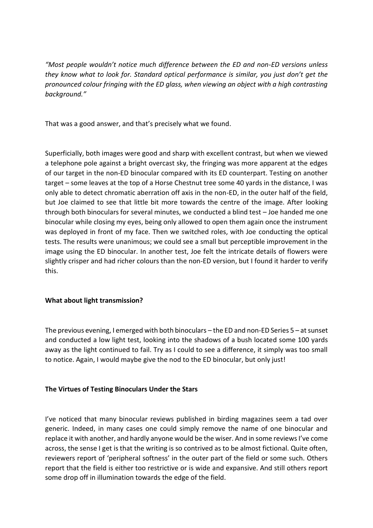*"Most people wouldn't notice much difference between the ED and non-ED versions unless they know what to look for. Standard optical performance is similar, you just don't get the pronounced colour fringing with the ED glass, when viewing an object with a high contrasting background."*

That was a good answer, and that's precisely what we found.

Superficially, both images were good and sharp with excellent contrast, but when we viewed a telephone pole against a bright overcast sky, the fringing was more apparent at the edges of our target in the non-ED binocular compared with its ED counterpart. Testing on another target – some leaves at the top of a Horse Chestnut tree some 40 yards in the distance, I was only able to detect chromatic aberration off axis in the non-ED, in the outer half of the field, but Joe claimed to see that little bit more towards the centre of the image. After looking through both binoculars for several minutes, we conducted a blind test – Joe handed me one binocular while closing my eyes, being only allowed to open them again once the instrument was deployed in front of my face. Then we switched roles, with Joe conducting the optical tests. The results were unanimous; we could see a small but perceptible improvement in the image using the ED binocular. In another test, Joe felt the intricate details of flowers were slightly crisper and had richer colours than the non-ED version, but I found it harder to verify this.

## **What about light transmission?**

The previous evening, I emerged with both binoculars – the ED and non-ED Series 5 – at sunset and conducted a low light test, looking into the shadows of a bush located some 100 yards away as the light continued to fail. Try as I could to see a difference, it simply was too small to notice. Again, I would maybe give the nod to the ED binocular, but only just!

## **The Virtues of Testing Binoculars Under the Stars**

I've noticed that many binocular reviews published in birding magazines seem a tad over generic. Indeed, in many cases one could simply remove the name of one binocular and replace it with another, and hardly anyone would be the wiser. And in some reviews I've come across, the sense I get is that the writing is so contrived as to be almost fictional. Quite often, reviewers report of 'peripheral softness' in the outer part of the field or some such. Others report that the field is either too restrictive or is wide and expansive. And still others report some drop off in illumination towards the edge of the field.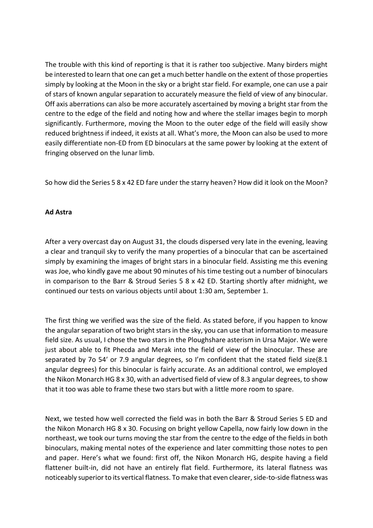The trouble with this kind of reporting is that it is rather too subjective. Many birders might be interested to learn that one can get a much better handle on the extent of those properties simply by looking at the Moon in the sky or a bright star field. For example, one can use a pair of stars of known angular separation to accurately measure the field of view of any binocular. Off axis aberrations can also be more accurately ascertained by moving a bright star from the centre to the edge of the field and noting how and where the stellar images begin to morph significantly. Furthermore, moving the Moon to the outer edge of the field will easily show reduced brightness if indeed, it exists at all. What's more, the Moon can also be used to more easily differentiate non-ED from ED binoculars at the same power by looking at the extent of fringing observed on the lunar limb.

So how did the Series 5 8 x 42 ED fare under the starry heaven? How did it look on the Moon?

#### **Ad Astra**

After a very overcast day on August 31, the clouds dispersed very late in the evening, leaving a clear and tranquil sky to verify the many properties of a binocular that can be ascertained simply by examining the images of bright stars in a binocular field. Assisting me this evening was Joe, who kindly gave me about 90 minutes of his time testing out a number of binoculars in comparison to the Barr & Stroud Series 5 8 x 42 ED. Starting shortly after midnight, we continued our tests on various objects until about 1:30 am, September 1.

The first thing we verified was the size of the field. As stated before, if you happen to know the angular separation of two bright stars in the sky, you can use that information to measure field size. As usual, I chose the two stars in the Ploughshare asterism in Ursa Major. We were just about able to fit Phecda and Merak into the field of view of the binocular. These are separated by 7o 54' or 7.9 angular degrees, so I'm confident that the stated field size(8.1 angular degrees) for this binocular is fairly accurate. As an additional control, we employed the Nikon Monarch HG 8 x 30, with an advertised field of view of 8.3 angular degrees, to show that it too was able to frame these two stars but with a little more room to spare.

Next, we tested how well corrected the field was in both the Barr & Stroud Series 5 ED and the Nikon Monarch HG 8 x 30. Focusing on bright yellow Capella, now fairly low down in the northeast, we took our turns moving the star from the centre to the edge of the fields in both binoculars, making mental notes of the experience and later committing those notes to pen and paper. Here's what we found: first off, the Nikon Monarch HG, despite having a field flattener built-in, did not have an entirely flat field. Furthermore, its lateral flatness was noticeably superior to its vertical flatness. To make that even clearer, side-to-side flatness was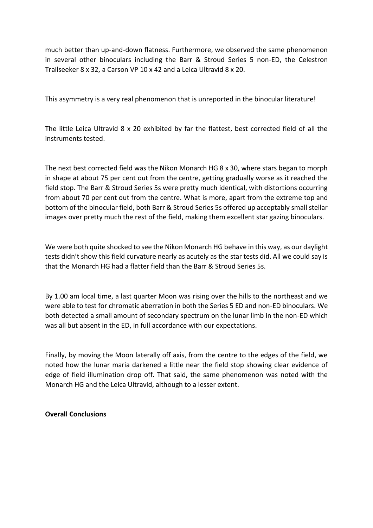much better than up-and-down flatness. Furthermore, we observed the same phenomenon in several other binoculars including the Barr & Stroud Series 5 non-ED, the Celestron Trailseeker 8 x 32, a Carson VP 10 x 42 and a Leica Ultravid 8 x 20.

This asymmetry is a very real phenomenon that is unreported in the binocular literature!

The little Leica Ultravid 8 x 20 exhibited by far the flattest, best corrected field of all the instruments tested.

The next best corrected field was the Nikon Monarch HG 8 x 30, where stars began to morph in shape at about 75 per cent out from the centre, getting gradually worse as it reached the field stop. The Barr & Stroud Series 5s were pretty much identical, with distortions occurring from about 70 per cent out from the centre. What is more, apart from the extreme top and bottom of the binocular field, both Barr & Stroud Series 5s offered up acceptably small stellar images over pretty much the rest of the field, making them excellent star gazing binoculars.

We were both quite shocked to see the Nikon Monarch HG behave in this way, as our daylight tests didn't show this field curvature nearly as acutely as the star tests did. All we could say is that the Monarch HG had a flatter field than the Barr & Stroud Series 5s.

By 1.00 am local time, a last quarter Moon was rising over the hills to the northeast and we were able to test for chromatic aberration in both the Series 5 ED and non-ED binoculars. We both detected a small amount of secondary spectrum on the lunar limb in the non-ED which was all but absent in the ED, in full accordance with our expectations.

Finally, by moving the Moon laterally off axis, from the centre to the edges of the field, we noted how the lunar maria darkened a little near the field stop showing clear evidence of edge of field illumination drop off. That said, the same phenomenon was noted with the Monarch HG and the Leica Ultravid, although to a lesser extent.

## **Overall Conclusions**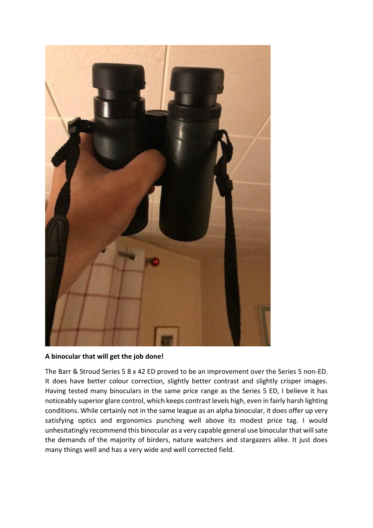

#### **A binocular that will get the job done!**

The Barr & Stroud Series 5 8 x 42 ED proved to be an improvement over the Series 5 non-ED. It does have better colour correction, slightly better contrast and slightly crisper images. Having tested many binoculars in the same price range as the Series 5 ED, I believe it has noticeably superior glare control, which keeps contrast levels high, even in fairly harsh lighting conditions. While certainly not in the same league as an alpha binocular, it does offer up very satisfying optics and ergonomics punching well above its modest price tag. I would unhesitatingly recommend this binocular as a very capable general use binocular that will sate the demands of the majority of birders, nature watchers and stargazers alike. It just does many things well and has a very wide and well corrected field.